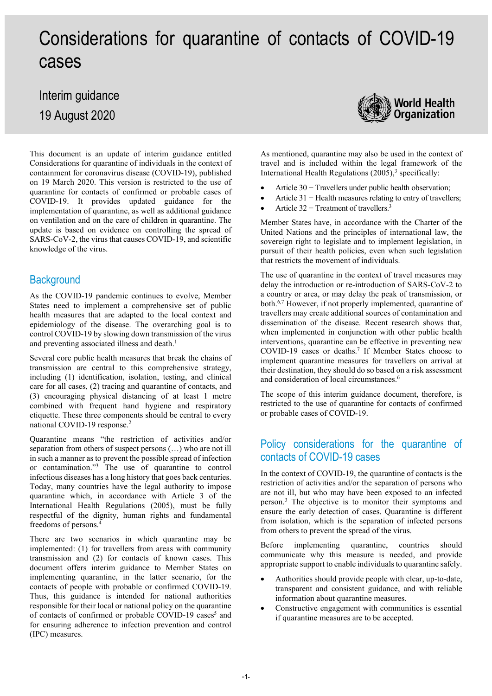# Considerations for quarantine of contacts of COVID-19 cases

## Interim guidance 19 August 2020



This document is an update of interim guidance entitled Considerations for quarantine of individuals in the context of containment for coronavirus disease (COVID-19), published on 19 March 2020. This version is restricted to the use of quarantine for contacts of confirmed or probable cases of COVID-19. It provides updated guidance for the implementation of quarantine, as well as additional guidance on ventilation and on the care of children in quarantine. The update is based on evidence on controlling the spread of SARS-CoV-2, the virus that causes COVID-19, and scientific knowledge of the virus.

### **Background**

As the COVID-19 pandemic continues to evolve, Member States need to implement a comprehensive set of public health measures that are adapted to the local context and epidemiology of the disease. The overarching goal is to control COVID-19 by slowing down transmission of the virus and preventing associated illness and death. 1

Several core public health measures that break the chains of transmission are central to this comprehensive strategy, including (1) identification, isolation, testing, and clinical care for all cases, (2) tracing and quarantine of contacts, and (3) encouraging physical distancing of at least 1 metre combined with frequent hand hygiene and respiratory etiquette. These three components should be central to every national COVID-19 response.2

Quarantine means "the restriction of activities and/or separation from others of suspect persons (…) who are not ill in such a manner as to prevent the possible spread of infection or contamination."3 The use of quarantine to control infectious diseases has a long history that goes back centuries. Today, many countries have the legal authority to impose quarantine which, in accordance with Article 3 of the International Health Regulations (2005), must be fully respectful of the dignity, human rights and fundamental freedoms of persons. 4

There are two scenarios in which quarantine may be implemented: (1) for travellers from areas with community transmission and (2) for contacts of known cases. This document offers interim guidance to Member States on implementing quarantine, in the latter scenario, for the contacts of people with probable or confirmed COVID-19. Thus, this guidance is intended for national authorities responsible for their local or national policy on the quarantine of contacts of confirmed or probable COVID-19 cases<sup>5</sup> and for ensuring adherence to infection prevention and control (IPC) measures.

As mentioned, quarantine may also be used in the context of travel and is included within the legal framework of the International Health Regulations  $(2005)^3$  specifically:

- Article 30 − Travellers under public health observation;
- Article 31 − Health measures relating to entry of travellers;
- Article  $32 -$  Treatment of travellers.<sup>3</sup>

Member States have, in accordance with the Charter of the United Nations and the principles of international law, the sovereign right to legislate and to implement legislation, in pursuit of their health policies, even when such legislation that restricts the movement of individuals.

The use of quarantine in the context of travel measures may delay the introduction or re-introduction of SARS-CoV-2 to a country or area, or may delay the peak of transmission, or both.<sup>6,7</sup> However, if not properly implemented, quarantine of travellers may create additional sources of contamination and dissemination of the disease. Recent research shows that, when implemented in conjunction with other public health interventions, quarantine can be effective in preventing new COVID-19 cases or deaths.7 If Member States choose to implement quarantine measures for travellers on arrival at their destination, they should do so based on a risk assessment and consideration of local circumstances.<sup>6</sup>

The scope of this interim guidance document, therefore, is restricted to the use of quarantine for contacts of confirmed or probable cases of COVID-19.

### Policy considerations for the quarantine of contacts of COVID-19 cases

In the context of COVID-19, the quarantine of contacts is the restriction of activities and/or the separation of persons who are not ill, but who may have been exposed to an infected person.3 The objective is to monitor their symptoms and ensure the early detection of cases. Quarantine is different from isolation, which is the separation of infected persons from others to prevent the spread of the virus.

Before implementing quarantine, countries should communicate why this measure is needed, and provide appropriate support to enable individuals to quarantine safely.

- Authorities should provide people with clear, up-to-date, transparent and consistent guidance, and with reliable information about quarantine measures.
- Constructive engagement with communities is essential if quarantine measures are to be accepted.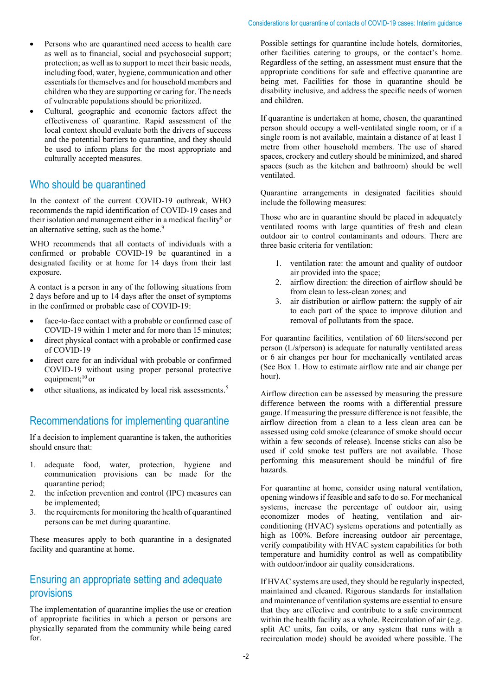- Persons who are quarantined need access to health care as well as to financial, social and psychosocial support; protection; as well as to support to meet their basic needs, including food, water, hygiene, communication and other essentials for themselves and for household members and children who they are supporting or caring for. The needs of vulnerable populations should be prioritized.
- Cultural, geographic and economic factors affect the effectiveness of quarantine. Rapid assessment of the local context should evaluate both the drivers of success and the potential barriers to quarantine, and they should be used to inform plans for the most appropriate and culturally accepted measures.

### Who should be quarantined

In the context of the current COVID-19 outbreak, WHO recommends the rapid identification of COVID-19 cases and their isolation and management either in a medical facility<sup>8</sup> or an alternative setting, such as the home.<sup>9</sup>

WHO recommends that all contacts of individuals with a confirmed or probable COVID-19 be quarantined in a designated facility or at home for 14 days from their last exposure.

A contact is a person in any of the following situations from 2 days before and up to 14 days after the onset of symptoms in the confirmed or probable case of COVID-19:

- face-to-face contact with a probable or confirmed case of COVID-19 within 1 meter and for more than 15 minutes;
- direct physical contact with a probable or confirmed case of COVID-19
- direct care for an individual with probable or confirmed COVID-19 without using proper personal protective equipment; $10$  or
- other situations, as indicated by local risk assessments.<sup>5</sup>

### Recommendations for implementing quarantine

If a decision to implement quarantine is taken, the authorities should ensure that:

- 1. adequate food, water, protection, hygiene and communication provisions can be made for the quarantine period;
- 2. the infection prevention and control (IPC) measures can be implemented;
- 3. the requirements for monitoring the health of quarantined persons can be met during quarantine.

These measures apply to both quarantine in a designated facility and quarantine at home.

### Ensuring an appropriate setting and adequate provisions

The implementation of quarantine implies the use or creation of appropriate facilities in which a person or persons are physically separated from the community while being cared for.

Possible settings for quarantine include hotels, dormitories, other facilities catering to groups, or the contact's home. Regardless of the setting, an assessment must ensure that the appropriate conditions for safe and effective quarantine are being met. Facilities for those in quarantine should be disability inclusive, and address the specific needs of women and children.

If quarantine is undertaken at home, chosen, the quarantined person should occupy a well-ventilated single room, or if a single room is not available, maintain a distance of at least 1 metre from other household members. The use of shared spaces, crockery and cutlery should be minimized, and shared spaces (such as the kitchen and bathroom) should be well ventilated.

Quarantine arrangements in designated facilities should include the following measures:

Those who are in quarantine should be placed in adequately ventilated rooms with large quantities of fresh and clean outdoor air to control contaminants and odours. There are three basic criteria for ventilation:

- 1. ventilation rate: the amount and quality of outdoor air provided into the space;
- 2. airflow direction: the direction of airflow should be from clean to less-clean zones; and
- 3. air distribution or airflow pattern: the supply of air to each part of the space to improve dilution and removal of pollutants from the space.

For quarantine facilities, ventilation of 60 liters/second per person (L/s/person) is adequate for naturally ventilated areas or 6 air changes per hour for mechanically ventilated areas (See Box 1. How to estimate airflow rate and air change per hour).

Airflow direction can be assessed by measuring the pressure difference between the rooms with a differential pressure gauge. If measuring the pressure difference is not feasible, the airflow direction from a clean to a less clean area can be assessed using cold smoke (clearance of smoke should occur within a few seconds of release). Incense sticks can also be used if cold smoke test puffers are not available. Those performing this measurement should be mindful of fire hazards.

For quarantine at home, consider using natural ventilation, opening windows if feasible and safe to do so. For mechanical systems, increase the percentage of outdoor air, using economizer modes of heating, ventilation and airconditioning (HVAC) systems operations and potentially as high as 100%. Before increasing outdoor air percentage, verify compatibility with HVAC system capabilities for both temperature and humidity control as well as compatibility with outdoor/indoor air quality considerations.

If HVAC systems are used, they should be regularly inspected, maintained and cleaned. Rigorous standards for installation and maintenance of ventilation systems are essential to ensure that they are effective and contribute to a safe environment within the health facility as a whole. Recirculation of air (e.g. split AC units, fan coils, or any system that runs with a recirculation mode) should be avoided where possible. The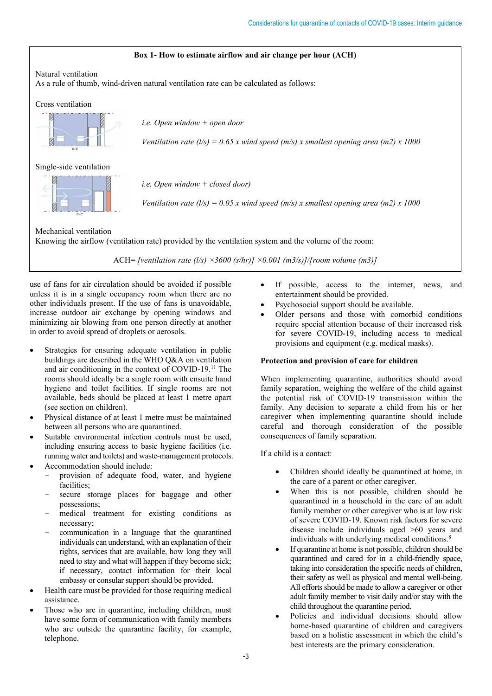#### **Box 1- How to estimate airflow and air change per hour (ACH)**

Natural ventilation

As a rule of thumb, wind-driven natural ventilation rate can be calculated as follows:

Cross ventilation



*i.e. Open window + open door*

*Ventilation rate (l/s)* =  $0.65$  x wind speed (m/s) x smallest opening area (m2) x 1000

Single-side ventilation



*i.e. Open window + closed door)*

*Ventilation rate (l/s)* =  $0.05$  *x* wind speed (m/s) *x* smallest opening area (m2) *x* 1000

Mechanical ventilation Knowing the airflow (ventilation rate) provided by the ventilation system and the volume of the room:

ACH= *[ventilation rate (l/s) ×3600 (s/hr)] ×0.001 (m3/s)]/[room volume (m3)]*

use of fans for air circulation should be avoided if possible unless it is in a single occupancy room when there are no other individuals present. If the use of fans is unavoidable, increase outdoor air exchange by opening windows and minimizing air blowing from one person directly at another in order to avoid spread of droplets or aerosols.

- Strategies for ensuring adequate ventilation in public buildings are described in the WHO Q&A on ventilation and air conditioning in the context of COVID-19.11 The rooms should ideally be a single room with ensuite hand hygiene and toilet facilities. If single rooms are not available, beds should be placed at least 1 metre apart (see section on children).
- Physical distance of at least 1 metre must be maintained between all persons who are quarantined.
- Suitable environmental infection controls must be used, including ensuring access to basic hygiene facilities (i.e. running water and toilets) and waste-management protocols. • Accommodation should include:
	- provision of adequate food, water, and hygiene facilities;
	- secure storage places for baggage and other possessions;
	- medical treatment for existing conditions as necessary;
	- communication in a language that the quarantined individuals can understand, with an explanation of their rights, services that are available, how long they will need to stay and what will happen if they become sick; if necessary, contact information for their local embassy or consular support should be provided.
- Health care must be provided for those requiring medical assistance.
- Those who are in quarantine, including children, must have some form of communication with family members who are outside the quarantine facility, for example, telephone.
- If possible, access to the internet, news, and entertainment should be provided.
- Psychosocial support should be available.
- Older persons and those with comorbid conditions require special attention because of their increased risk for severe COVID-19, including access to medical provisions and equipment (e.g. medical masks).

#### **Protection and provision of care for children**

When implementing quarantine, authorities should avoid family separation, weighing the welfare of the child against the potential risk of COVID-19 transmission within the family. Any decision to separate a child from his or her caregiver when implementing quarantine should include careful and thorough consideration of the possible consequences of family separation.

If a child is a contact:

- Children should ideally be quarantined at home, in the care of a parent or other caregiver.
- When this is not possible, children should be quarantined in a household in the care of an adult family member or other caregiver who is at low risk of severe COVID-19. Known risk factors for severe disease include individuals aged >60 years and individuals with underlying medical conditions.<sup>8</sup>
- If quarantine at home is not possible, children should be quarantined and cared for in a child-friendly space, taking into consideration the specific needs of children, their safety as well as physical and mental well-being. All efforts should be made to allow a caregiver or other adult family member to visit daily and/or stay with the child throughout the quarantine period.
- Policies and individual decisions should allow home-based quarantine of children and caregivers based on a holistic assessment in which the child's best interests are the primary consideration.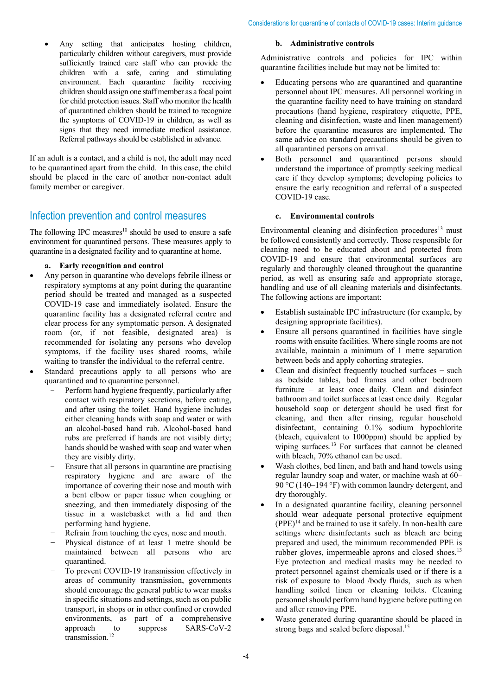• Any setting that anticipates hosting children, particularly children without caregivers, must provide sufficiently trained care staff who can provide the children with a safe, caring and stimulating environment. Each quarantine facility receiving children should assign one staff member as a focal point for child protection issues. Staff who monitor the health of quarantined children should be trained to recognize the symptoms of COVID-19 in children, as well as signs that they need immediate medical assistance. Referral pathways should be established in advance.

If an adult is a contact, and a child is not, the adult may need to be quarantined apart from the child. In this case, the child should be placed in the care of another non-contact adult family member or caregiver.

### Infection prevention and control measures

The following IPC measures<sup>10</sup> should be used to ensure a safe environment for quarantined persons. These measures apply to quarantine in a designated facility and to quarantine at home.

**a. Early recognition and control**

- Any person in quarantine who develops febrile illness or respiratory symptoms at any point during the quarantine period should be treated and managed as a suspected COVID-19 case and immediately isolated. Ensure the quarantine facility has a designated referral centre and clear process for any symptomatic person. A designated room (or, if not feasible, designated area) is recommended for isolating any persons who develop symptoms, if the facility uses shared rooms, while waiting to transfer the individual to the referral centre.
- Standard precautions apply to all persons who are quarantined and to quarantine personnel.
	- Perform hand hygiene frequently, particularly after contact with respiratory secretions, before eating, and after using the toilet. Hand hygiene includes either cleaning hands with soap and water or with an alcohol-based hand rub. Alcohol-based hand rubs are preferred if hands are not visibly dirty; hands should be washed with soap and water when they are visibly dirty.
	- Ensure that all persons in quarantine are practising respiratory hygiene and are aware of the importance of covering their nose and mouth with a bent elbow or paper tissue when coughing or sneezing, and then immediately disposing of the tissue in a wastebasket with a lid and then performing hand hygiene.
	- Refrain from touching the eyes, nose and mouth.
	- Physical distance of at least 1 metre should be maintained between all persons who are quarantined.
	- To prevent COVID-19 transmission effectively in areas of community transmission, governments should encourage the general public to wear masks in specific situations and settings, such as on public transport, in shops or in other confined or crowded environments, as part of a comprehensive approach to suppress SARS-CoV-2 transmission. 12

#### **b. Administrative controls**

Administrative controls and policies for IPC within quarantine facilities include but may not be limited to:

- Educating persons who are quarantined and quarantine personnel about IPC measures. All personnel working in the quarantine facility need to have training on standard precautions (hand hygiene, respiratory etiquette, PPE, cleaning and disinfection, waste and linen management) before the quarantine measures are implemented. The same advice on standard precautions should be given to all quarantined persons on arrival.
- Both personnel and quarantined persons should understand the importance of promptly seeking medical care if they develop symptoms; developing policies to ensure the early recognition and referral of a suspected COVID-19 case.

### **c. Environmental controls**

Environmental cleaning and disinfection procedures $13$  must be followed consistently and correctly. Those responsible for cleaning need to be educated about and protected from COVID-19 and ensure that environmental surfaces are regularly and thoroughly cleaned throughout the quarantine period, as well as ensuring safe and appropriate storage, handling and use of all cleaning materials and disinfectants. The following actions are important:

- Establish sustainable IPC infrastructure (for example, by designing appropriate facilities).
- Ensure all persons quarantined in facilities have single rooms with ensuite facilities. Where single rooms are not available, maintain a minimum of 1 metre separation between beds and apply cohorting strategies.
- Clean and disinfect frequently touched surfaces − such as bedside tables, bed frames and other bedroom furniture – at least once daily. Clean and disinfect bathroom and toilet surfaces at least once daily. Regular household soap or detergent should be used first for cleaning, and then after rinsing, regular household disinfectant, containing 0.1% sodium hypochlorite (bleach, equivalent to 1000ppm) should be applied by wiping surfaces.<sup>13</sup> For surfaces that cannot be cleaned with bleach, 70% ethanol can be used.
- Wash clothes, bed linen, and bath and hand towels using regular laundry soap and water, or machine wash at 60– 90 °C (140–194 °F) with common laundry detergent, and dry thoroughly.
- In a designated quarantine facility, cleaning personnel should wear adequate personal protective equipment  $(PPE)^{14}$  and be trained to use it safely. In non-health care settings where disinfectants such as bleach are being prepared and used, the minimum recommended PPE is rubber gloves, impermeable aprons and closed shoes.<sup>13</sup> Eye protection and medical masks may be needed to protect personnel against chemicals used or if there is a risk of exposure to blood /body fluids, such as when handling soiled linen or cleaning toilets. Cleaning personnel should perform hand hygiene before putting on and after removing PPE.
- Waste generated during quarantine should be placed in strong bags and sealed before disposal.<sup>15</sup>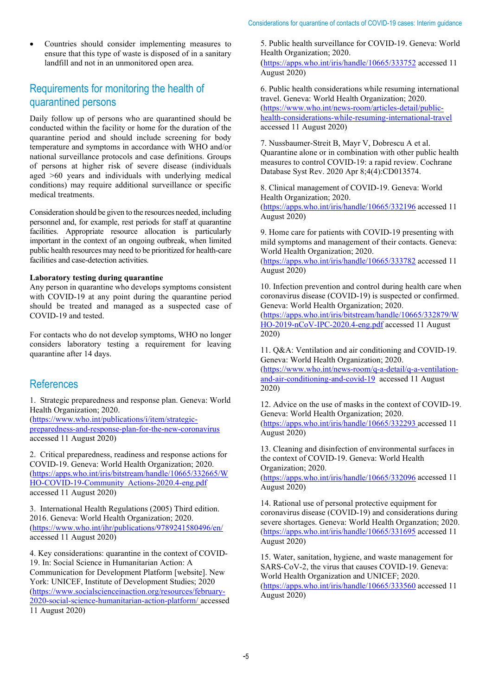• Countries should consider implementing measures to ensure that this type of waste is disposed of in a sanitary landfill and not in an unmonitored open area.

### Requirements for monitoring the health of quarantined persons

Daily follow up of persons who are quarantined should be conducted within the facility or home for the duration of the quarantine period and should include screening for body temperature and symptoms in accordance with WHO and/or national surveillance protocols and case definitions. Groups of persons at higher risk of severe disease (individuals aged >60 years and individuals with underlying medical conditions) may require additional surveillance or specific medical treatments.

Consideration should be given to the resources needed, including personnel and, for example, rest periods for staff at quarantine facilities. Appropriate resource allocation is particularly important in the context of an ongoing outbreak, when limited public health resources may need to be prioritized for health-care facilities and case-detection activities.

#### **Laboratory testing during quarantine**

Any person in quarantine who develops symptoms consistent with COVID-19 at any point during the quarantine period should be treated and managed as a suspected case of COVID-19 and tested.

For contacts who do not develop symptoms, WHO no longer considers laboratory testing a requirement for leaving quarantine after 14 days.

### **References**

1. Strategic preparedness and response plan. Geneva: World Health Organization; 2020.

[\(https://www.who.int/publications/i/item/strategic](https://www.who.int/publications/i/item/strategic-preparedness-and-response-plan-for-the-new-coronavirus)[preparedness-and-response-plan-for-the-new-coronavirus](https://www.who.int/publications/i/item/strategic-preparedness-and-response-plan-for-the-new-coronavirus) accessed 11 August 2020)

2. Critical preparedness, readiness and response actions for COVID-19. Geneva: World Health Organization; 2020. [\(https://apps.who.int/iris/bitstream/handle/10665/332665/W](https://apps.who.int/iris/bitstream/handle/10665/332665/WHO-COVID-19-Community_Actions-2020.4-eng.pdf) [HO-COVID-19-Community\\_Actions-2020.4-eng.pdf](https://apps.who.int/iris/bitstream/handle/10665/332665/WHO-COVID-19-Community_Actions-2020.4-eng.pdf) accessed 11 August 2020)

3. International Health Regulations (2005) Third edition. 2016. Geneva: World Health Organization; 2020. [\(https://www.who.int/ihr/publications/9789241580496/en/](https://www.who.int/ihr/publications/9789241580496/en/) accessed 11 August 2020)

4. Key considerations: quarantine in the context of COVID-19. In: Social Science in Humanitarian Action: A Communication for Development Platform [website]. New York: UNICEF, Institute of Development Studies; 2020 [\(https://www.socialscienceinaction.org/resources/february-](https://www.socialscienceinaction.org/resources/february-2020-social-science-humanitarian-action-platform/)[2020-social-science-humanitarian-action-platform/](https://www.socialscienceinaction.org/resources/february-2020-social-science-humanitarian-action-platform/) accessed 11 August 2020)

5. Public health surveillance for COVID-19. Geneva: World Health Organization; 2020.

[\(https://apps.who.int/iris/handle/10665/333752](https://apps.who.int/iris/handle/10665/333752) accessed 11 August 2020)

6. Public health considerations while resuming international travel. Geneva: World Health Organization; 2020. [\(https://www.who.int/news-room/articles-detail/public](https://www.who.int/news-room/articles-detail/public-health-considerations-while-resuming-international-travel)[health-considerations-while-resuming-international-travel](https://www.who.int/news-room/articles-detail/public-health-considerations-while-resuming-international-travel) accessed 11 August 2020)

7. Nussbaumer-Streit B, Mayr V, Dobrescu A et al. Quarantine alone or in combination with other public health measures to control COVID‐19: a rapid review. Cochrane Database Syst Rev. 2020 Apr 8;4(4):CD013574.

8. Clinical management of COVID-19. Geneva: World Health Organization; 2020. [\(https://apps.who.int/iris/handle/10665/332196](https://apps.who.int/iris/handle/10665/332196) accessed 11 August 2020)

9. Home care for patients with COVID-19 presenting with mild symptoms and management of their contacts. Geneva: World Health Organization; 2020.

[\(https://apps.who.int/iris/handle/10665/333782](https://apps.who.int/iris/handle/10665/333782) accessed 11 August 2020)

10. Infection prevention and control during health care when coronavirus disease (COVID-19) is suspected or confirmed. Geneva: World Health Organization; 2020.

[\(https://apps.who.int/iris/bitstream/handle/10665/332879/W](https://apps.who.int/iris/bitstream/handle/10665/332879/WHO-2019-nCoV-IPC-2020.4-eng.pdf) [HO-2019-nCoV-IPC-2020.4-eng.pdf](https://apps.who.int/iris/bitstream/handle/10665/332879/WHO-2019-nCoV-IPC-2020.4-eng.pdf) accessed 11 August 2020)

11. Q&A: Ventilation and air conditioning and COVID-19. Geneva: World Health Organization; 2020.

[\(https://www.who.int/news-room/q-a-detail/q-a-ventilation](https://www.who.int/news-room/q-a-detail/q-a-ventilation-and-air-conditioning-and-covid-19)[and-air-conditioning-and-covid-19](https://www.who.int/news-room/q-a-detail/q-a-ventilation-and-air-conditioning-and-covid-19) accessed 11 August 2020)

12. Advice on the use of masks in the context of COVID-19. Geneva: World Health Organization; 2020. [\(https://apps.who.int/iris/handle/10665/332293](https://apps.who.int/iris/handle/10665/332293ca) accessed 11 August 2020)

13. Cleaning and disinfection of environmental surfaces in the context of COVID-19. Geneva: World Health Organization; 2020.

[\(https://apps.who.int/iris/handle/10665/332096](https://apps.who.int/iris/handle/10665/332096) accessed 11 August 2020)

14. Rational use of personal protective equipment for coronavirus disease (COVID-19) and considerations during severe shortages. Geneva: World Health Organzation; 2020. [\(https://apps.who.int/iris/handle/10665/331695](https://apps.who.int/iris/handle/10665/331695) accessed 11 August 2020)

15. Water, sanitation, hygiene, and waste management for SARS-CoV-2, the virus that causes COVID-19. Geneva: World Health Organization and UNICEF; 2020. [\(https://apps.who.int/iris/handle/10665/333560](https://apps.who.int/iris/handle/10665/333560) accessed 11

August 2020)